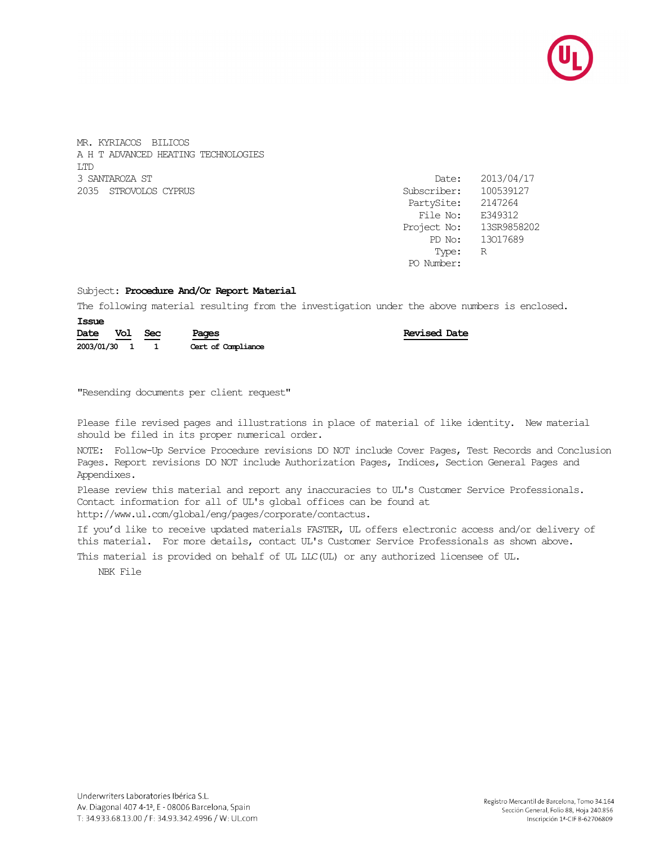

MR. KYRIACOS BILICOS A H T ADVANCED HEATING TECHNOLOGIES LTD 3 SANTAROZA ST 2035 STROVOLOS CYPRUS

| Date:       | 2013/04/17  |
|-------------|-------------|
| Subscriber: | 100539127   |
| PartySite:  | 2147264     |
| File No:    | E349312     |
| Project No: | 13SR9858202 |
| PD No:      | 13017689    |
| Type:       | R           |
| PO Number:  |             |
|             |             |

## Subject: **Procedure And/Or Report Material**

The following material resulting from the investigation under the above numbers is enclosed.

| Date         | Vol Sec | Pages              | <b>Revised Date</b> |
|--------------|---------|--------------------|---------------------|
| 2003/01/30 1 |         | Cert of Compliance |                     |

"Resending documents per client request"

Please file revised pages and illustrations in place of material of like identity. New material should be filed in its proper numerical order.

NOTE: Follow-Up Service Procedure revisions DO NOT include Cover Pages, Test Records and Conclusion Pages. Report revisions DO NOT include Authorization Pages, Indices, Section General Pages and Appendixes.

Please review this material and report any inaccuracies to UL's Customer Service Professionals. Contact information for all of UL's global offices can be found at http://www.ul.com/global/eng/pages/corporate/contactus.

If you'd like to receive updated materials FASTER, UL offers electronic access and/or delivery of this material. For more details, contact UL's Customer Service Professionals as shown above.

This material is provided on behalf of UL LLC(UL) or any authorized licensee of UL.

NBK File

**Issue**